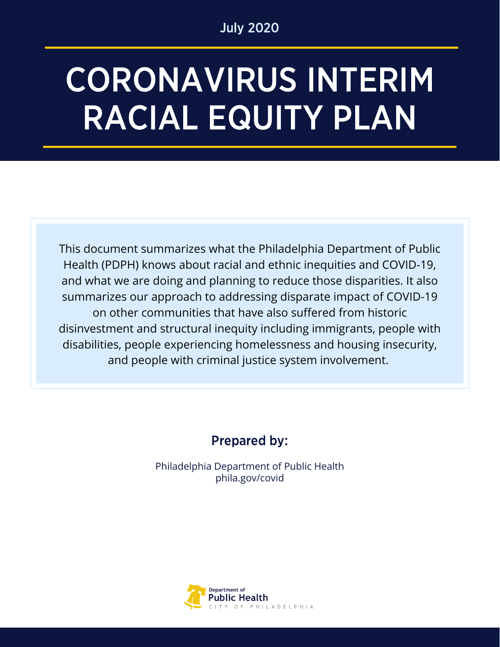### July 2020

# CORONAVIRUS INTERIM RACIAL EQUITY PLAN

This document summarizes what the Philadelphia Department of Public Health (PDPH) knows about racial and ethnic inequities and COVID-19, and what we are doing and planning to reduce those disparities. It also summarizes our approach to addressing disparate impact of COVID-19 on other communities that have also suffered from historic disinvestment and structural inequity including immigrants, people with disabilities, people experiencing homelessness and housing insecurity, and people with criminal justice system involvement.

# Prepared by:

Philadelphia Department of Public Health phila.gov/covid

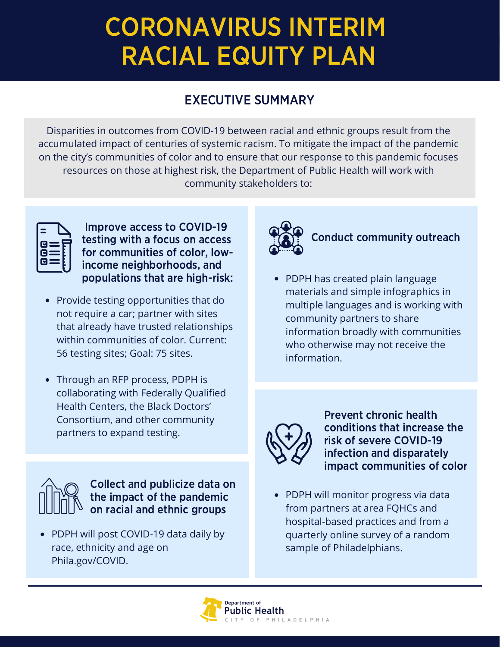# CORONAVIRUS INTERIM RACIAL EQUITY PLAN

## EXECUTIVE SUMMARY

Disparities in outcomes from COVID-19 between racial and ethnic groups result from the accumulated impact of centuries of systemic racism. To mitigate the impact of the pandemic on the city's communities of color and to ensure that our response to this pandemic focuses resources on those at highest risk, the Department of Public Health will work with community stakeholders to:

| cΕ<br>GE | $\mathbf{G}$ $\equiv$ |
|----------|-----------------------|

Improve access to COVID-19 testing with a focus on access for communities of color, lowincome neighborhoods, and populations that are high-risk:

- Provide testing opportunities that do not require a car; partner with sites that already have trusted relationships within communities of color. Current: 56 testing sites; Goal: 75 sites.
- Through an RFP process, PDPH is collaborating with Federally Qualified Health Centers, the Black Doctors' Consortium, and other community partners to expand testing.



Collect and publicize data on the impact of the pandemic on racial and ethnic groups

• PDPH will post COVID-19 data daily by race, ethnicity and age on Phila.gov/COVID.



## Conduct community outreach

• PDPH has created plain language materials and simple infographics in multiple languages and is working with community partners to share information broadly with communities who otherwise may not receive the information.



Prevent chronic health conditions that increase the risk of severe COVID-19 infection and disparately impact communities of color

PDPH will monitor progress via data from partners at area FQHCs and hospital-based practices and from a quarterly online survey of a random sample of Philadelphians.

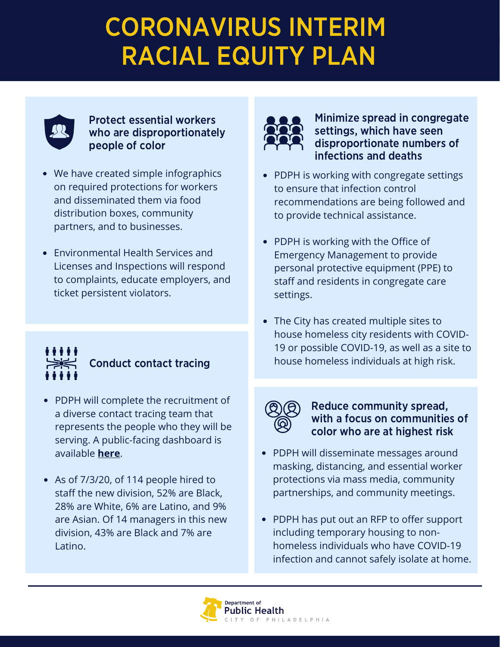# CORONAVIRUS INTERIM RACIAL EQUITY PLAN



Protect essential workers who are disproportionately people of color

- We have created simple infographics on required protections for workers and disseminated them via food distribution boxes, community partners, and to businesses.
- Environmental Health Services and Licenses and Inspections will respond to complaints, educate employers, and ticket persistent violators.



- PDPH will complete the recruitment of a diverse contact tracing team that represents the people who they will be serving. A public-facing dashboard is available **[here](https://public.tableau.com/profile/cityofphiladelphia#!/vizhome/ContactTracing_15953483985210/ContactTracing)**[.](https://public.tableau.com/profile/cityofphiladelphia)
- As of 7/3/20, of 114 people hired to staff the new division, 52% are Black, 28% are White, 6% are Latino, and 9% are Asian. Of 14 managers in this new division, 43% are Black and 7% are Latino.



Minimize spread in congregate settings, which have seen disproportionate numbers of infections and deaths

- PDPH is working with congregate settings to ensure that infection control recommendations are being followed and to provide technical assistance.
- PDPH is working with the Office of Emergency Management to provide personal protective equipment (PPE) to staff and residents in congregate care settings.
- The City has created multiple sites to  $\bullet$ house homeless city residents with COVID-19 or possible COVID-19, as well as a site to Conduct contact tracing thouse homeless individuals at high risk.



#### Reduce community spread, with a focus on communities of color who are at highest risk

- PDPH will disseminate messages around masking, distancing, and essential worker protections via mass media, community partnerships, and community meetings.
- PDPH has put out an RFP to offer support including temporary housing to nonhomeless individuals who have COVID-19 infection and cannot safely isolate at home.

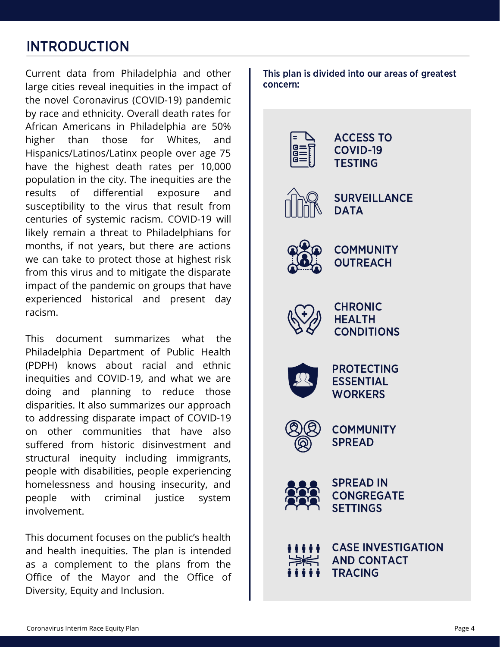# INTRODUCTION

Current data from Philadelphia and other large cities reveal inequities in the impact of the novel Coronavirus (COVID-19) pandemic by race and ethnicity. Overall death rates for African Americans in Philadelphia are 50% higher than those for Whites, and Hispanics/Latinos/Latinx people over age 75 have the highest death rates per 10,000 population in the city. The inequities are the results of differential exposure and susceptibility to the virus that result from centuries of systemic racism. COVID-19 will likely remain a threat to Philadelphians for months, if not years, but there are actions we can take to protect those at highest risk from this virus and to mitigate the disparate impact of the pandemic on groups that have experienced historical and present day racism.

This document summarizes what the Philadelphia Department of Public Health (PDPH) knows about racial and ethnic inequities and COVID-19, and what we are doing and planning to reduce those disparities. It also summarizes our approach to addressing disparate impact of COVID-19 on other communities that have also suffered from historic disinvestment and structural inequity including immigrants, people with disabilities, people experiencing homelessness and housing insecurity, and people with criminal justice system involvement.

This document focuses on the public's health and health inequities. The plan is intended as a complement to the plans from the Office of the Mayor and the Office of Diversity, Equity and Inclusion.

This plan is divided into our areas of greatest concern:

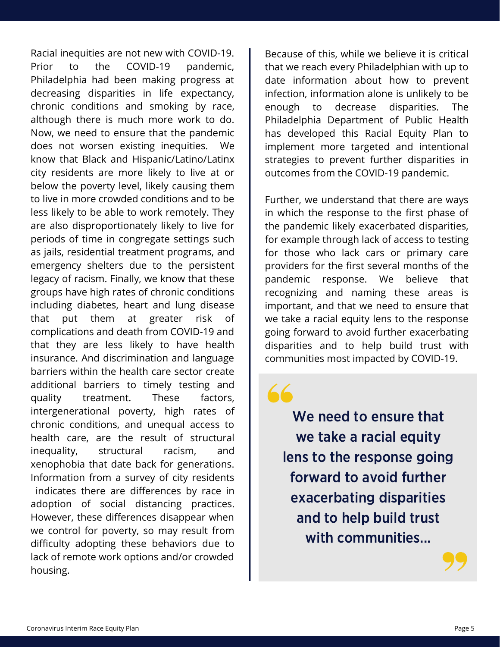Racial inequities are not new with COVID-19. Prior to the COVID-19 pandemic, Philadelphia had been making progress at decreasing disparities in life expectancy, chronic conditions and smoking by race, although there is much more work to do. Now, we need to ensure that the pandemic does not worsen existing inequities. We know that Black and Hispanic/Latino/Latinx city residents are more likely to live at or below the poverty level, likely causing them to live in more crowded conditions and to be less likely to be able to work remotely. They are also disproportionately likely to live for periods of time in congregate settings such as jails, residential treatment programs, and emergency shelters due to the persistent legacy of racism. Finally, we know that these groups have high rates of chronic conditions including diabetes, heart and lung disease that put them at greater risk of complications and death from COVID-19 and that they are less likely to have health insurance. And discrimination and language barriers within the health care sector create additional barriers to timely testing and quality treatment. These factors, intergenerational poverty, high rates of chronic conditions, and unequal access to health care, are the result of structural inequality, structural racism, and xenophobia that date back for generations. Information from a survey of city residents indicates there are differences by race in adoption of social distancing practices. However, these differences disappear when we control for poverty, so may result from difficulty adopting these behaviors due to lack of remote work options and/or crowded housing.

Because of this, while we believe it is critical that we reach every Philadelphian with up to date information about how to prevent infection, information alone is unlikely to be enough to decrease disparities. The Philadelphia Department of Public Health has developed this Racial Equity Plan to implement more targeted and intentional strategies to prevent further disparities in outcomes from the COVID-19 pandemic.

Further, we understand that there are ways in which the response to the first phase of the pandemic likely exacerbated disparities, for example through lack of access to testing for those who lack cars or primary care providers for the first several months of the pandemic response. We believe that recognizing and naming these areas is important, and that we need to ensure that we take a racial equity lens to the response going forward to avoid further exacerbating disparities and to help build trust with communities most impacted by COVID-19.

 $66$ 

We need to ensure that we take a racial equity lens to the response going forward to avoid further exacerbating disparities and to help build trust with communities...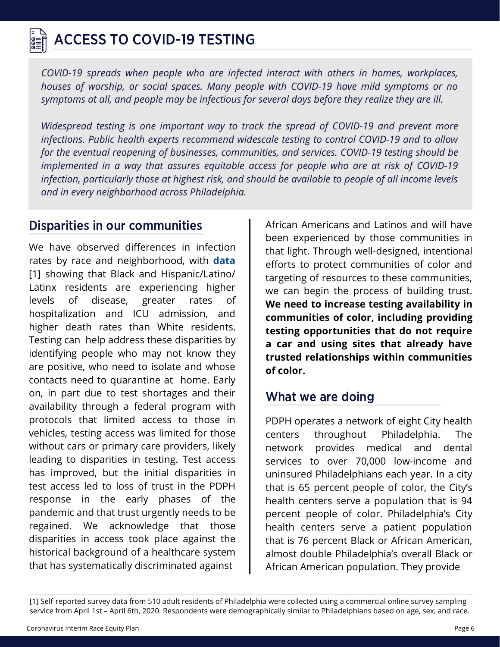# ACCESS TO COVID-19 TESTING

*COVID-19 spreads when people who are infected interact with others in homes, workplaces, houses of worship, or social spaces. Many people with COVID-19 have mild symptoms or no symptoms at all, and people may be infectious for several days before they realize they are ill.*

*Widespread testing is one important way to track the spread of COVID-19 and prevent more infections. Public health experts recommend widescale testing to control COVID-19 and to allow for the eventual reopening of businesses, communities, and services. COVID-19 testing should be implemented in a way that assures equitable access for people who are at risk of COVID-19 infection, particularly those at highest risk, and should be available to people of all income levels and in every neighborhood across Philadelphia.*

We have observed differences in infection rates by race and neighborhood, with **[data](https://www.phila.gov/programs/coronavirus-disease-2019-covid-19/testing-and-data/)** [1] showing that Black and Hispanic/Latino/ Latinx residents are experiencing higher levels of disease, greater rates of hospitalization and ICU admission, and higher death rates than White residents. Testing can help address these disparities by identifying people who may not know they are positive, who need to isolate and whose contacts need to quarantine at home. Early on, in part due to test shortages and their availability through a federal program with protocols that limited access to those in vehicles, testing access was limited for those without cars or primary care providers, likely leading to disparities in testing. Test access has improved, but the initial disparities in test access led to loss of trust in the PDPH response in the early phases of the pandemic and that trust urgently needs to be regained. We acknowledge that those disparities in access took place against the historical background of a healthcare system that has systematically discriminated against

**Disparities in our communities** | African Americans and Latinos and will have been experienced by those communities in that light. Through well-designed, intentional efforts to protect communities of color and targeting of resources to these communities, we can begin the process of building trust. **We need to increase testing availability in communities of color, including providing testing opportunities that do not require a car and using sites that already have trusted relationships within communities of color.**

### What we are doing

PDPH operates a network of eight City health centers throughout Philadelphia. The network provides medical and dental services to over 70,000 low-income and uninsured Philadelphians each year. In a city that is 65 percent people of color, the City's health centers serve a population that is 94 percent people of color. Philadelphia's City health centers serve a patient population that is 76 percent Black or African American, almost double Philadelphia's overall Black or African American population. They provide

<sup>[1]</sup> Self-reported survey data from 510 adult residents of Philadelphia were collected using a commercial online survey sampling service from April 1st – April 6th, 2020. Respondents were demographically similar to Philadelphians based on age, sex, and race.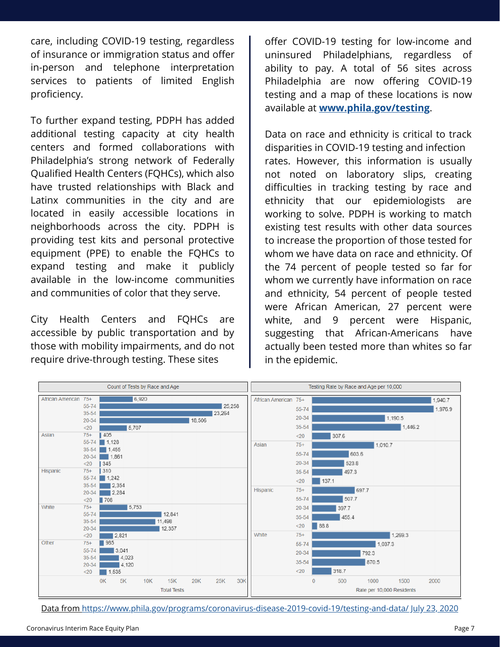care, including COVID-19 testing, regardless of insurance or immigration status and offer in-person and telephone interpretation services to patients of limited English proficiency.

To further expand testing, PDPH has added additional testing capacity at city health centers and formed collaborations with Philadelphia's strong network of Federally Qualified Health Centers (FQHCs), which also have trusted relationships with Black and Latinx communities in the city and are located in easily accessible locations in neighborhoods across the city. PDPH is providing test kits and personal protective equipment (PPE) to enable the FQHCs to expand testing and make it publicly available in the low-income communities and communities of color that they serve.

City Health Centers and FQHCs are accessible by public transportation and by those with mobility impairments, and do not require drive-through testing. These sites

offer COVID-19 testing for low-income and uninsured Philadelphians, regardless of ability to pay. A total of 56 sites across Philadelphia are now offering COVID-19 testing and a map of these locations is now available at **[www.phila.gov/testing](http://www.phila.gov/testing)**.

Data on race and ethnicity is critical to track disparities in COVID-19 testing and infection rates. However, this information is usually not noted on laboratory slips, creating difficulties in tracking testing by race and ethnicity that our epidemiologists are working to solve. PDPH is working to match existing test results with other data sources to increase the proportion of those tested for whom we have data on race and ethnicity. Of the 74 percent of people tested so far for whom we currently have information on race and ethnicity, 54 percent of people tested were African American, 27 percent were white, and 9 percent were Hispanic, suggesting that African-Americans have actually been tested more than whites so far in the epidemic.



Data [from](https://www.phila.gov/programs/coronavirus-disease-2019-covid-19/testing-and-data/) <https://www.phila.gov/programs/coronavirus-disease-2019-covid-19/testing-and-data/> July 23, 2020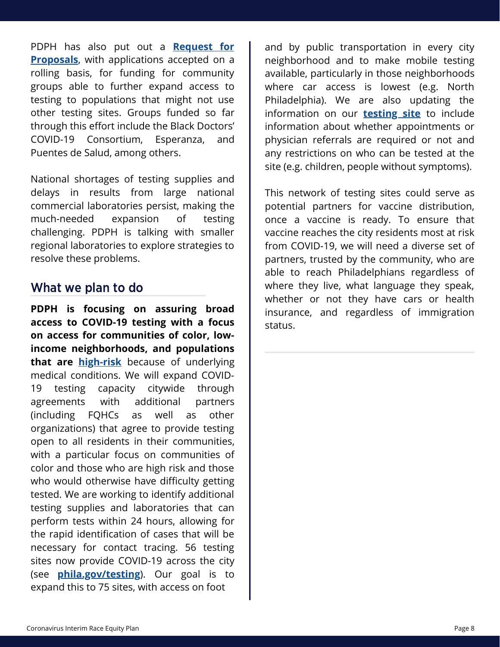PDPH has also put out a **Request for Proposals**[, with applications accepted on a](https://www.phila.gov/documents/apply-to-start-a-covid-19-community-testing-program/) rolling basis, for funding for community groups able to further expand access to testing to populations that might not use other testing sites. Groups funded so far through this effort include the Black Doctors' COVID-19 Consortium, Esperanza, and Puentes de Salud, among others.

National shortages of testing supplies and delays in results from large national commercial laboratories persist, making the much-needed expansion of testing challenging. PDPH is talking with smaller regional laboratories to explore strategies to resolve these problems.

#### What we plan to do

**PDPH is focusing on assuring broad access to COVID-19 testing with a focus on access for communities of color, lowincome neighborhoods, and populations that are [high-risk](https://www.cdc.gov/coronavirus/2019-ncov/need-extra-precautions/people-with-medical-conditions.html)** because of underlying medical conditions. We will expand COVID-19 testing capacity citywide through agreements with additional partners (including FQHCs as well as other organizations) that agree to provide testing open to all residents in their communities, with a particular focus on communities of color and those who are high risk and those who would otherwise have difficulty getting tested. We are working to identify additional testing supplies and laboratories that can perform tests within 24 hours, allowing for the rapid identification of cases that will be necessary for contact tracing. 56 testing sites now provide COVID-19 across the city (see **[phila.gov/testing](http://phila.gov/testing)**). Our goal is to expand this to 75 sites, with access on foot

and by public transportation in every city neighborhood and to make mobile testing available, particularly in those neighborhoods where car access is lowest (e.g. North Philadelphia). We are also updating the information on our **[testing site](https://www.phila.gov/covid-testing-sites/#/)** to include information about whether appointments or physician referrals are required or not and any restrictions on who can be tested at the site (e.g. children, people without symptoms).

This network of testing sites could serve as potential partners for vaccine distribution, once a vaccine is ready. To ensure that vaccine reaches the city residents most at risk from COVID-19, we will need a diverse set of partners, trusted by the community, who are able to reach Philadelphians regardless of where they live, what language they speak, whether or not they have cars or health insurance, and regardless of immigration status.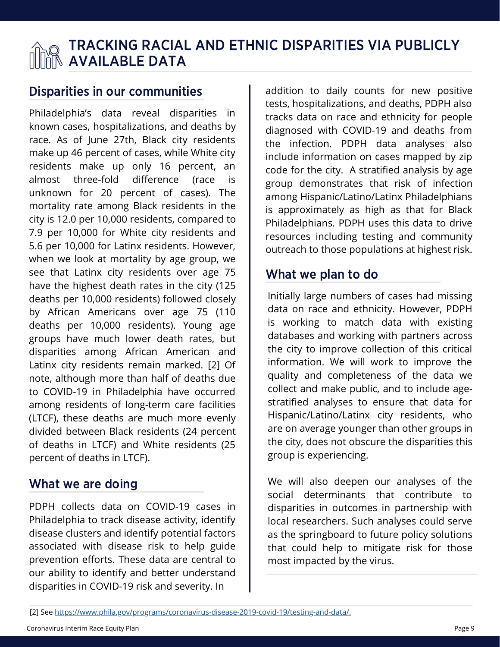# TRACKING RACIAL AND ETHNIC DISPARITIES VIA PUBLICLY AVAILABLE DATA

#### Disparities in our communities

Philadelphia's data reveal disparities in known cases, hospitalizations, and deaths by race. As of June 27th, Black city residents make up 46 percent of cases, while White city residents make up only 16 percent, an almost three-fold difference (race is unknown for 20 percent of cases). The mortality rate among Black residents in the city is 12.0 per 10,000 residents, compared to 7.9 per 10,000 for White city residents and 5.6 per 10,000 for Latinx residents. However, when we look at mortality by age group, we see that Latinx city residents over age 75 have the highest death rates in the city (125 deaths per 10,000 residents) followed closely by African Americans over age 75 (110 deaths per 10,000 residents). Young age groups have much lower death rates, but disparities among African American and Latinx city residents remain marked. [2] Of note, although more than half of deaths due to COVID-19 in Philadelphia have occurred among residents of long-term care facilities (LTCF), these deaths are much more evenly divided between Black residents (24 percent of deaths in LTCF) and White residents (25 percent of deaths in LTCF).

#### What we are doing

PDPH collects data on COVID-19 cases in Philadelphia to track disease activity, identify disease clusters and identify potential factors associated with disease risk to help guide prevention efforts. These data are central to our ability to identify and better understand disparities in COVID-19 risk and severity. In

addition to daily counts for new positive tests, hospitalizations, and deaths, PDPH also tracks data on race and ethnicity for people diagnosed with COVID-19 and deaths from the infection. PDPH data analyses also include information on cases mapped by zip code for the city. A stratified analysis by age group demonstrates that risk of infection among Hispanic/Latino/Latinx Philadelphians is approximately as high as that for Black Philadelphians. PDPH uses this data to drive resources including testing and community outreach to those populations at highest risk.

### What we plan to do

Initially large numbers of cases had missing data on race and ethnicity. However, PDPH is working to match data with existing databases and working with partners across the city to improve collection of this critical information. We will work to improve the quality and completeness of the data we collect and make public, and to include agestratified analyses to ensure that data for Hispanic/Latino/Latinx city residents, who are on average younger than other groups in the city, does not obscure the disparities this group is experiencing.

We will also deepen our analyses of the social determinants that contribute to disparities in outcomes in partnership with local researchers. Such analyses could serve as the springboard to future policy solutions that could help to mitigate risk for those most impacted by the virus.

<sup>[2]</sup> See [https://www.phila.gov/programs/coronavirus-disease-2019-covid-19/testing-and-data/.](https://www.phila.gov/programs/coronavirus-disease-2019-covid-19/testing-and-data/)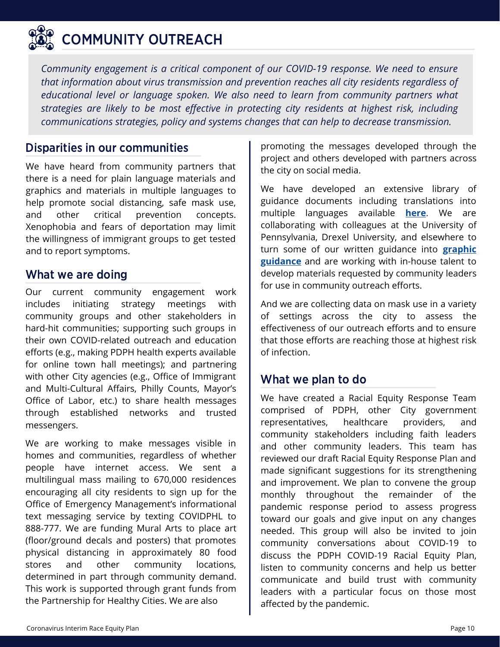

# COMMUNITY OUTREACH

*Community engagement is a critical component of our COVID-19 response. We need to ensure that information about virus transmission and prevention reaches all city residents regardless of educational level or language spoken. We also need to learn from community partners what strategies are likely to be most effective in protecting city residents at highest risk, including communications strategies, policy and systems changes that can help to decrease transmission.*

We have heard from community partners that there is a need for plain language materials and graphics and materials in multiple languages to help promote social distancing, safe mask use, and other critical prevention concepts. Xenophobia and fears of deportation may limit the willingness of immigrant groups to get tested and to report symptoms.

#### What we are doing

Our current community engagement work includes initiating strategy meetings with community groups and other stakeholders in hard-hit communities; supporting such groups in their own COVID-related outreach and education efforts (e.g., making PDPH health experts available for online town hall meetings); and partnering with other City agencies (e.g., Office of Immigrant and Multi-Cultural Affairs, Philly Counts, Mayor's Office of Labor, etc.) to share health messages through established networks and trusted messengers.

We are working to make messages visible in homes and communities, regardless of whether people have internet access. We sent a multilingual mass mailing to 670,000 residences encouraging all city residents to sign up for the Office of Emergency Management's informational text messaging service by texting COVIDPHL to 888-777. We are funding Mural Arts to place art (floor/ground decals and posters) that promotes physical distancing in approximately 80 food stores and other community locations, determined in part through community demand. This work is supported through grant funds from the Partnership for Healthy Cities. We are also

**Disparities in our communities promoting the messages developed through the** project and others developed with partners across the city on social media.

> We have developed an extensive library of guidance documents including translations into multiple languages available **[here](https://www.phila.gov/programs/coronavirus-disease-2019-covid-19/multi-language-resources)**. We are collaborating with colleagues at the University of Pennsylvania, Drexel University, and elsewhere to turn some of our written guidance into **graphic [guidance](https://www.phila.gov/programs/coronavirus-disease-2019-covid-19/guidance/guidance-documents/)** and are working with in-house talent to develop materials requested by community leaders for use in community outreach efforts.

> And we are collecting data on mask use in a variety of settings across the city to assess the effectiveness of our outreach efforts and to ensure that those efforts are reaching those at highest risk of infection.

#### What we plan to do

We have created a Racial Equity Response Team comprised of PDPH, other City government representatives, healthcare providers, and community stakeholders including faith leaders and other community leaders. This team has reviewed our draft Racial Equity Response Plan and made significant suggestions for its strengthening and improvement. We plan to convene the group monthly throughout the remainder of the pandemic response period to assess progress toward our goals and give input on any changes needed. This group will also be invited to join community conversations about COVID-19 to discuss the PDPH COVID-19 Racial Equity Plan, listen to community concerns and help us better communicate and build trust with community leaders with a particular focus on those most affected by the pandemic.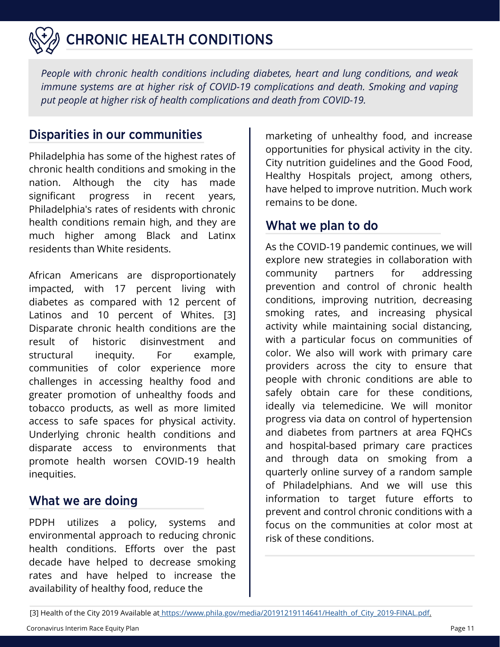

*People with chronic health conditions including diabetes, heart and lung conditions, and weak immune systems are at higher risk of COVID-19 complications and death. Smoking and vaping put people at higher risk of health complications and death from COVID-19.*

#### **Disparities in our communities** and marketing of unhealthy food, and increase

Philadelphia has some of the highest rates of chronic health conditions and smoking in the nation. Although the city has made significant progress in recent years, Philadelphia's rates of residents with chronic health conditions remain high, and they are much higher among Black and Latinx residents than White residents.

African Americans are disproportionately impacted, with 17 percent living with diabetes as compared with 12 percent of Latinos and 10 percent of Whites. [3] Disparate chronic health conditions are the result of historic disinvestment and structural inequity. For example, communities of color experience more challenges in accessing healthy food and greater promotion of unhealthy foods and tobacco products, as well as more limited access to safe spaces for physical activity. Underlying chronic health conditions and disparate access to environments that promote health worsen COVID-19 health inequities.

#### What we are doing

PDPH utilizes a policy, systems and environmental approach to reducing chronic health conditions. Efforts over the past decade have helped to decrease smoking rates and have helped to increase the availability of healthy food, reduce the

opportunities for physical activity in the city. City nutrition guidelines and the Good Food, Healthy Hospitals project, among others, have helped to improve nutrition. Much work remains to be done.

#### What we plan to do

As the COVID-19 pandemic continues, we will explore new strategies in collaboration with community partners for addressing prevention and control of chronic health conditions, improving nutrition, decreasing smoking rates, and increasing physical activity while maintaining social distancing, with a particular focus on communities of color. We also will work with primary care providers across the city to ensure that people with chronic conditions are able to safely obtain care for these conditions, ideally via telemedicine. We will monitor progress via data on control of hypertension and diabetes from partners at area FQHCs and hospital-based primary care practices and through data on smoking from a quarterly online survey of a random sample of Philadelphians. And we will use this information to target future efforts to prevent and control chronic conditions with a focus on the communities at color most at risk of these conditions.

[<sup>\[3\]</sup> Health of the City 2019 Available at https://www.phila.gov/media/20191219114641/Health\\_of\\_City\\_2019-FINAL.pdf.](https://www.phila.gov/media/20191219114641/Health_of_City_2019-FINAL.pdf)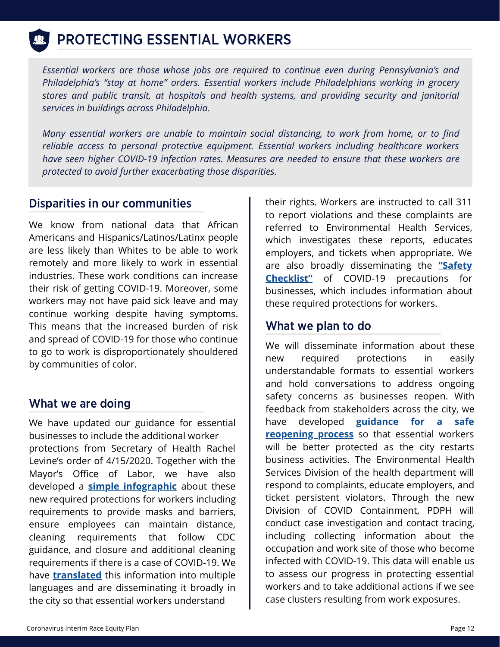# PROTECTING ESSENTIAL WORKERS

*Essential workers are those whose jobs are required to continue even during Pennsylvania's and Philadelphia's "stay at home" orders. Essential workers include Philadelphians working in grocery stores and public transit, at hospitals and health systems, and providing security and janitorial services in buildings across Philadelphia.*

*Many essential workers are unable to maintain social distancing, to work from home, or to find reliable access to personal protective equipment. Essential workers including healthcare workers have seen higher COVID-19 infection rates. Measures are needed to ensure that these workers are protected to avoid further exacerbating those disparities.*

We know from national data that African Americans and Hispanics/Latinos/Latinx people are less likely than Whites to be able to work remotely and more likely to work in essential industries. These work conditions can increase their risk of getting COVID-19. Moreover, some workers may not have paid sick leave and may continue working despite having symptoms. This means that the increased burden of risk and spread of COVID-19 for those who continue to go to work is disproportionately shouldered by communities of color.

#### What we are doing

We have updated our guidance for essential businesses to include the additional worker protections from Secretary of Health Rachel Levine's order of 4/15/2020. Together with the Mayor's Office of Labor, we have also developed a **simple [infographic](https://www.phila.gov/media/20200512143752/COVID-Know-Your-Rights_5_12_2020.pdf)** about these new required protections for workers including requirements to provide masks and barriers, ensure employees can maintain distance, cleaning requirements that follow CDC guidance, and closure and additional cleaning requirements if there is a case of COVID-19. We have **[translated](https://www.phila.gov/programs/coronavirus-disease-2019-covid-19/multi-language-resources/)** this information into multiple languages and are disseminating it broadly in the city so that essential workers understand

**Disparities in our communities Their rights. Workers are instructed to call 311** to report violations and these complaints are referred to Environmental Health Services, which investigates these reports, educates employers, and tickets when appropriate. We are also broadly [disseminating](https://www.phila.gov/guides/reopening-with-care/social-distancing/#safety-checklist) the **"Safety Checklist"** of COVID-19 precautions for businesses, which includes information about these required protections for workers.

#### What we plan to do

We will disseminate information about these new required protections in easily understandable formats to essential workers and hold conversations to address ongoing safety concerns as businesses reopen. With feedback from stakeholders across the city, we have developed **guidance for a safe [reopening](https://www.phila.gov/guides/reopening-with-care/reopening-guidance/) process** so that essential workers will be better protected as the city restarts business activities. The Environmental Health Services Division of the health department will respond to complaints, educate employers, and ticket persistent violators. Through the new Division of COVID Containment, PDPH will conduct case investigation and contact tracing, including collecting information about the occupation and work site of those who become infected with COVID-19. This data will enable us to assess our progress in protecting essential workers and to take additional actions if we see case clusters resulting from work exposures.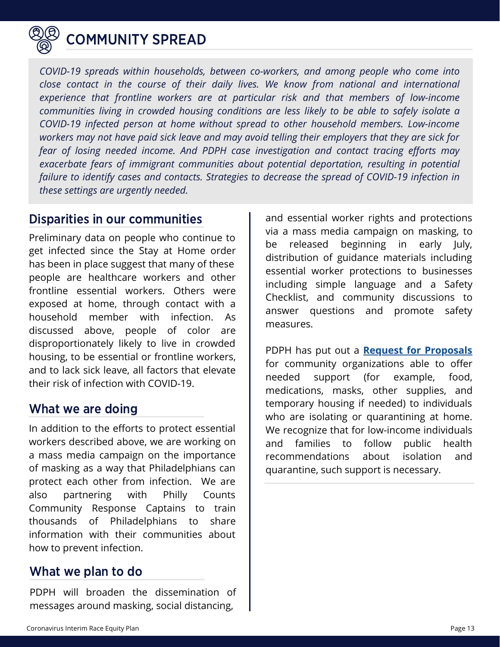

## COMMUNITY SPREAD

*COVID-19 spreads within households, between co-workers, and among people who come into close contact in the course of their daily lives. We know from national and international experience that frontline workers are at particular risk and that members of low-income communities living in crowded housing conditions are less likely to be able to safely isolate a COVID-19 infected person at home without spread to other household members. Low-income workers may not have paid sick leave and may avoid telling their employers that they are sick for fear of losing needed income. And PDPH case investigation and contact tracing efforts may exacerbate fears of immigrant communities about potential deportation, resulting in potential failure to identify cases and contacts. Strategies to decrease the spread of COVID-19 infection in these settings are urgently needed.*

#### Disparities in our communities

Preliminary data on people who continue to get infected since the Stay at Home order has been in place suggest that many of these people are healthcare workers and other frontline essential workers. Others were exposed at home, through contact with a household member with infection. As discussed above, people of color are disproportionately likely to live in crowded housing, to be essential or frontline workers, and to lack sick leave, all factors that elevate their risk of infection with COVID-19.

#### What we are doing

In addition to the efforts to protect essential workers described above, we are working on a mass media campaign on the importance of masking as a way that Philadelphians can protect each other from infection. We are also partnering with Philly Counts Community Response Captains to train thousands of Philadelphians to share information with their communities about how to prevent infection.

#### What we plan to do

PDPH will broaden the dissemination of messages around masking, social distancing,

and essential worker rights and protections via a mass media campaign on masking, to be released beginning in early July, distribution of guidance materials including essential worker protections to businesses including simple language and a Safety Checklist, and community discussions to answer questions and promote safety measures.

PDPH has put out a **[Request for Proposals](https://www.phila.gov/documents/apply-to-start-a-covid-19-isolation-and-quarantine-program/)** for community organizations able to offer needed support (for example, food, medications, masks, other supplies, and temporary housing if needed) to individuals who are isolating or quarantining at home. We recognize that for low-income individuals and families to follow public health recommendations about isolation and quarantine, such support is necessary.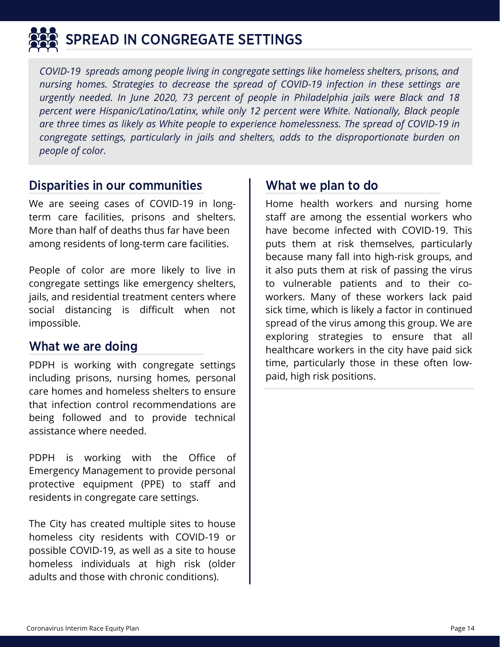

# SPREAD IN CONGREGATE SETTINGS

*COVID-19 spreads among people living in congregate settings like homeless shelters, prisons, and nursing homes. Strategies to decrease the spread of COVID-19 infection in these settings are urgently needed. In June 2020, 73 percent of people in Philadelphia jails were Black and 18 percent were Hispanic/Latino/Latinx, while only 12 percent were White. Nationally, Black people are three times as likely as White people to experience homelessness. The spread of COVID-19 in congregate settings, particularly in jails and shelters, adds to the disproportionate burden on people of color.*

#### Disparities in our communities

We are seeing cases of COVID-19 in longterm care facilities, prisons and shelters. More than half of deaths thus far have been among residents of long-term care facilities.

People of color are more likely to live in congregate settings like emergency shelters, jails, and residential treatment centers where social distancing is difficult when not impossible.

### What we are doing

PDPH is working with congregate settings including prisons, nursing homes, personal care homes and homeless shelters to ensure that infection control recommendations are being followed and to provide technical assistance where needed.

PDPH is working with the Office of Emergency Management to provide personal protective equipment (PPE) to staff and residents in congregate care settings.

The City has created multiple sites to house homeless city residents with COVID-19 or possible COVID-19, as well as a site to house homeless individuals at high risk (older adults and those with chronic conditions).

#### What we plan to do

Home health workers and nursing home staff are among the essential workers who have become infected with COVID-19. This puts them at risk themselves, particularly because many fall into high-risk groups, and it also puts them at risk of passing the virus to vulnerable patients and to their coworkers. Many of these workers lack paid sick time, which is likely a factor in continued spread of the virus among this group. We are exploring strategies to ensure that all healthcare workers in the city have paid sick time, particularly those in these often lowpaid, high risk positions.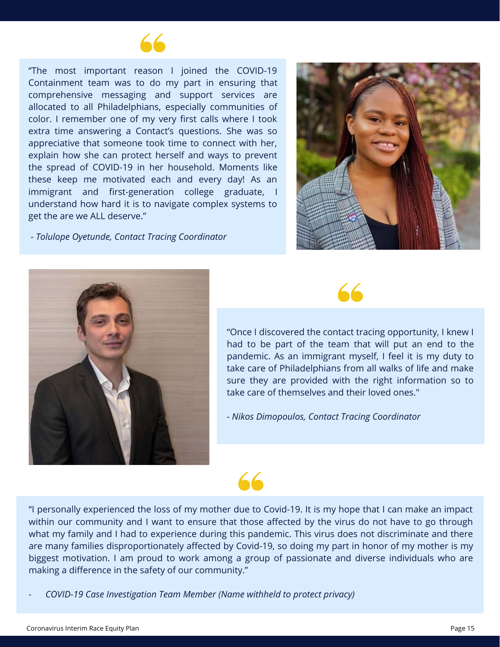

"The most important reason I joined the COVID-19 Containment team was to do my part in ensuring that comprehensive messaging and support services are allocated to all Philadelphians, especially communities of color. I remember one of my very first calls where I took extra time answering a Contact's questions. She was so appreciative that someone took time to connect with her, explain how she can protect herself and ways to prevent the spread of COVID-19 in her household. Moments like these keep me motivated each and every day! As an immigrant and first-generation college graduate, I understand how hard it is to navigate complex systems to get the are we ALL deserve."

*- Tolulope Oyetunde, Contact Tracing Coordinator*







"Once I discovered the contact tracing opportunity, I knew I had to be part of the team that will put an end to the pandemic. As an immigrant myself, I feel it is my duty to take care of Philadelphians from all walks of life and make sure they are provided with the right information so to take care of themselves and their loved ones."

*- Nikos Dimopoulos, Contact Tracing Coordinator*

# $66$

"I personally experienced the loss of my mother due to Covid-19. It is my hope that I can make an impact within our community and I want to ensure that those affected by the virus do not have to go through what my family and I had to experience during this pandemic. This virus does not discriminate and there are many families disproportionately affected by Covid-19, so doing my part in honor of my mother is my biggest motivation. I am proud to work among a group of passionate and diverse individuals who are making a difference in the safety of our community."

*- COVID-19 Case Investigation Team Member (Name withheld to protect privacy)*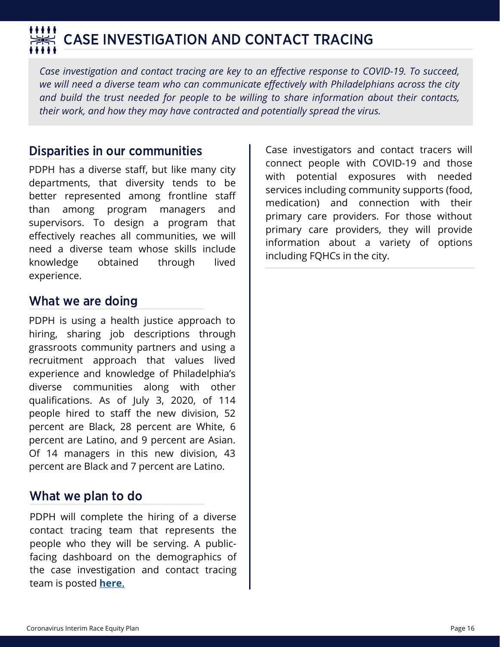# CASE INVESTIGATION AND CONTACT TRACING

*Case investigation and contact tracing are key to an effective response to COVID-19. To succeed, we will need a diverse team who can communicate effectively with Philadelphians across the city and build the trust needed for people to be willing to share information about their contacts, their work, and how they may have contracted and potentially spread the virus.*

#### Disparities in our communities

PDPH has a diverse staff, but like many city departments, that diversity tends to be better represented among frontline staff than among program managers and supervisors. To design a program that effectively reaches all communities, we will need a diverse team whose skills include knowledge obtained through lived experience.

#### What we are doing

PDPH is using a health justice approach to hiring, sharing job descriptions through grassroots community partners and using a recruitment approach that values lived experience and knowledge of Philadelphia's diverse communities along with other qualifications. As of July 3, 2020, of 114 people hired to staff the new division, 52 percent are Black, 28 percent are White, 6 percent are Latino, and 9 percent are Asian. Of 14 managers in this new division, 43 percent are Black and 7 percent are Latino.

#### What we plan to do

PDPH will complete the hiring of a diverse contact tracing team that represents the people who they will be serving. A publicfacing dashboard on the demographics of the case investigation and contact tracing team is posted **[here](https://public.tableau.com/profile/cityofphiladelphia#!/vizhome/ContactTracing_15953483985210/ContactTracing)**[.](https://public.tableau.com/profile/cityofphiladelphia#!/vizhome/ContactTracing_15953483985210/ContactTracing)

Case investigators and contact tracers will connect people with COVID-19 and those with potential exposures with needed services including community supports (food, medication) and connection with their primary care providers. For those without primary care providers, they will provide information about a variety of options including FQHCs in the city.